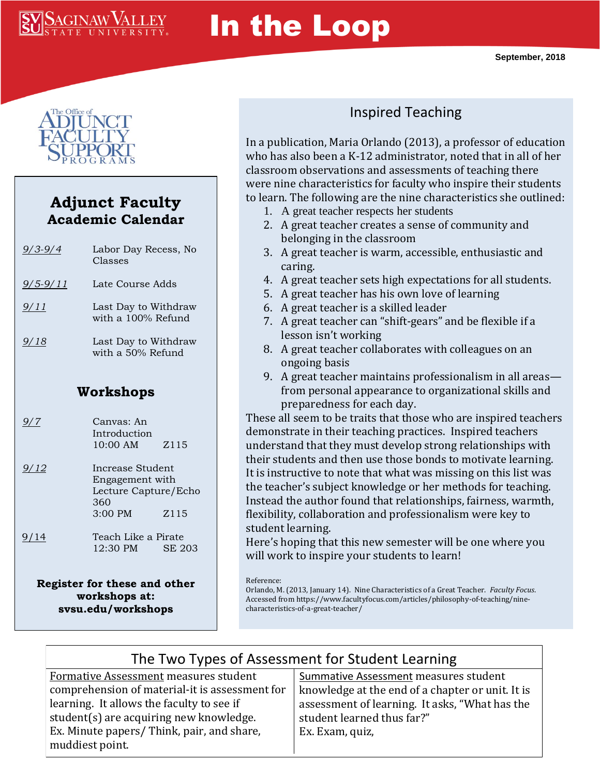

# In the Loop



#### **Adjunct Faculty Academic Calendar**

| $9/3 - 9/4$    | Labor Day Recess, No<br>Classes                |  |
|----------------|------------------------------------------------|--|
| $9/5 - 9/11$   | Late Course Adds                               |  |
| $\frac{9}{11}$ | Last Day to Withdraw<br>with a 100% Refund     |  |
| 9/18           | Last Day to Withdraw<br>with a 50% Refund      |  |
| Workshops      |                                                |  |
| 9/7            | Canvas: An<br>Introduction<br>10:00 AM<br>Z115 |  |

- *9/12* Increase Student Engagement with Lecture Capture/Echo 360 3:00 PM Z115
- 9/14 Teach Like a Pirate 12:30 PM SE 203

**Register for these and other workshops at: svsu.edu/workshops**

## Inspired Teaching

In a publication, Maria Orlando (2013), a professor of education who has also been a K-12 administrator, noted that in all of her classroom observations and assessments of teaching there were nine characteristics for faculty who inspire their students to learn. The following are the nine characteristics she outlined:

- 1. A great teacher respects her students
- 2. A great teacher creates a sense of community and belonging in the classroom
- 3. A great teacher is warm, accessible, enthusiastic and caring.
- 4. A great teacher sets high expectations for all students.
- 5. A great teacher has his own love of learning
- 6. A great teacher is a skilled leader
- 7. A great teacher can "shift-gears" and be flexible if a lesson isn't working
- 8. A great teacher collaborates with colleagues on an ongoing basis
- 9. A great teacher maintains professionalism in all areas from personal appearance to organizational skills and preparedness for each day.

These all seem to be traits that those who are inspired teachers demonstrate in their teaching practices. Inspired teachers understand that they must develop strong relationships with their students and then use those bonds to motivate learning. It is instructive to note that what was missing on this list was the teacher's subject knowledge or her methods for teaching. Instead the author found that relationships, fairness, warmth, flexibility, collaboration and professionalism were key to student learning.

Here's hoping that this new semester will be one where you will work to inspire your students to learn!

Orlando, M. (2013, January 14). Nine Characteristics of a Great Teacher. *Faculty Focus*. Accessed from https://www.facultyfocus.com/articles/philosophy-of-teaching/ninecharacteristics-of-a-great-teacher/

## The Two Types of Assessment for Student Learning

Formative Assessment measures student comprehension of material-it is assessment for learning. It allows the faculty to see if student(s) are acquiring new knowledge. Ex. Minute papers/ Think, pair, and share, muddiest point.

#### Summative Assessment measures student knowledge at the end of a chapter or unit. It is assessment of learning. It asks, "What has the student learned thus far?" Ex. Exam, quiz,

Reference: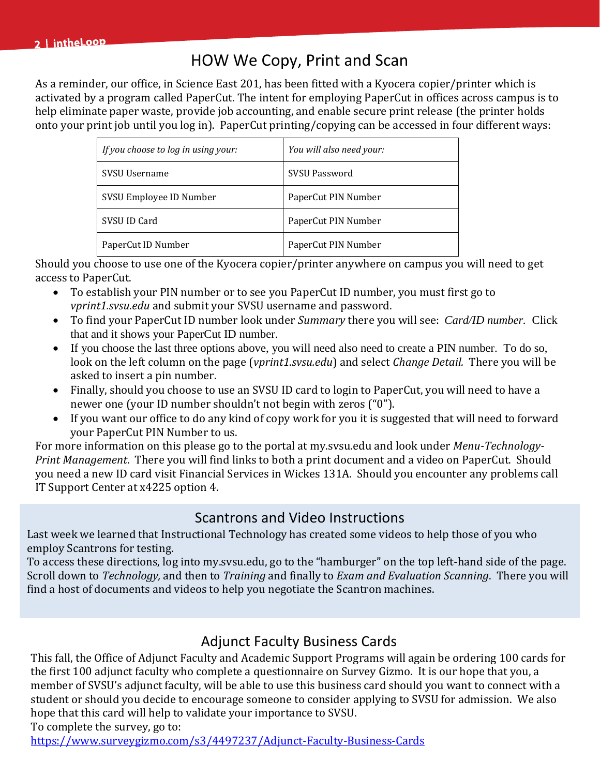## HOW We Copy, Print and Scan

As a reminder, our office, in Science East 201, has been fitted with a Kyocera copier/printer which is activated by a program called PaperCut. The intent for employing PaperCut in offices across campus is to help eliminate paper waste, provide job accounting, and enable secure print release (the printer holds onto your print job until you log in). PaperCut printing/copying can be accessed in four different ways:

| If you choose to log in using your: | You will also need your: |
|-------------------------------------|--------------------------|
| SVSU Username                       | <b>SVSU Password</b>     |
| SVSU Employee ID Number             | PaperCut PIN Number      |
| SVSU ID Card                        | PaperCut PIN Number      |
| PaperCut ID Number                  | PaperCut PIN Number      |

Should you choose to use one of the Kyocera copier/printer anywhere on campus you will need to get access to PaperCut.

- To establish your PIN number or to see you PaperCut ID number, you must first go to *vprint1.svsu.edu* and submit your SVSU username and password.
- To find your PaperCut ID number look under *Summary* there you will see: *Card/ID number.* Click that and it shows your PaperCut ID number.
- If you choose the last three options above, you will need also need to create a PIN number. To do so, look on the left column on the page (*vprint1.svsu.edu*) and select *Change Detail.* There you will be asked to insert a pin number.
- Finally, should you choose to use an SVSU ID card to login to PaperCut, you will need to have a newer one (your ID number shouldn't not begin with zeros ("0").
- If you want our office to do any kind of copy work for you it is suggested that will need to forward your PaperCut PIN Number to us.

For more information on this please go to the portal at my.svsu.edu and look under *Menu-Technology-Print Management*. There you will find links to both a print document and a video on PaperCut. Should you need a new ID card visit Financial Services in Wickes 131A. Should you encounter any problems call IT Support Center at x4225 option 4.

#### Scantrons and Video Instructions

Last week we learned that Instructional Technology has created some videos to help those of you who employ Scantrons for testing.

To access these directions, log into my.svsu.edu, go to the "hamburger" on the top left-hand side of the page. Scroll down to *Technology,* and then to *Training* and finally to *Exam and Evaluation Scanning*. There you will find a host of documents and videos to help you negotiate the Scantron machines.

### Adjunct Faculty Business Cards

This fall, the Office of Adjunct Faculty and Academic Support Programs will again be ordering 100 cards for the first 100 adjunct faculty who complete a questionnaire on Survey Gizmo. It is our hope that you, a member of SVSU's adjunct faculty, will be able to use this business card should you want to connect with a student or should you decide to encourage someone to consider applying to SVSU for admission. We also hope that this card will help to validate your importance to SVSU.

To complete the survey, go to:

<https://www.surveygizmo.com/s3/4497237/Adjunct-Faculty-Business-Cards>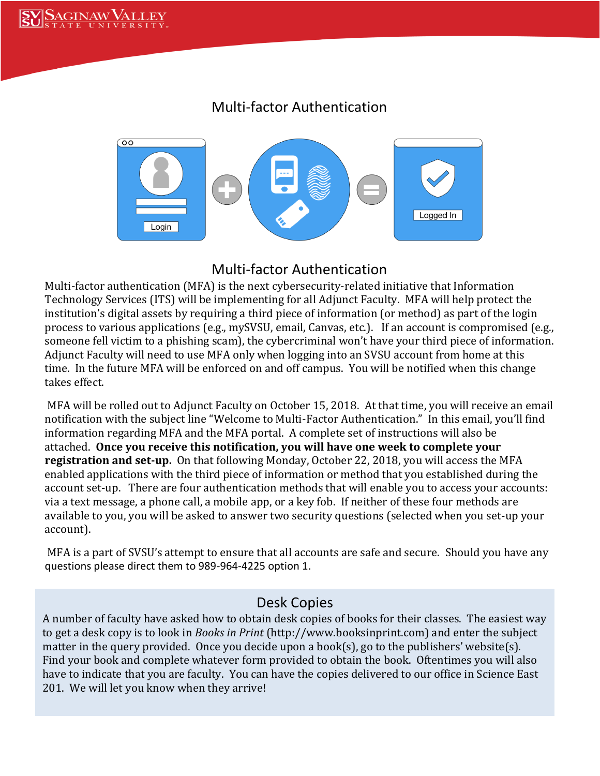#### Multi-factor Authentication



#### Multi-factor Authentication

Multi-factor authentication (MFA) is the next cybersecurity-related initiative that Information Technology Services (ITS) will be implementing for all Adjunct Faculty. MFA will help protect the institution's digital assets by requiring a third piece of information (or method) as part of the login process to various applications (e.g., mySVSU, email, Canvas, etc.). If an account is compromised (e.g., someone fell victim to a phishing scam), the cybercriminal won't have your third piece of information. Adjunct Faculty will need to use MFA only when logging into an SVSU account from home at this time. In the future MFA will be enforced on and off campus. You will be notified when this change takes effect.

MFA will be rolled out to Adjunct Faculty on October 15, 2018. At that time, you will receive an email notification with the subject line "Welcome to Multi-Factor Authentication." In this email, you'll find information regarding MFA and the MFA portal. A complete set of instructions will also be attached. **Once you receive this notification, you will have one week to complete your registration and set-up.** On that following Monday, October 22, 2018, you will access the MFA enabled applications with the third piece of information or method that you established during the account set-up. There are four authentication methods that will enable you to access your accounts: via a text message, a phone call, a mobile app, or a key fob. If neither of these four methods are available to you, you will be asked to answer two security questions (selected when you set-up your account).

MFA is a part of SVSU's attempt to ensure that all accounts are safe and secure. Should you have any questions please direct them to 989-964-4225 option 1.

#### Desk Copies

A number of faculty have asked how to obtain desk copies of books for their classes. The easiest way to get a desk copy is to look in *Books in Print* (http://www.booksinprint.com) and enter the subject matter in the query provided. Once you decide upon a book(s), go to the publishers' website(s). Find your book and complete whatever form provided to obtain the book. Oftentimes you will also have to indicate that you are faculty. You can have the copies delivered to our office in Science East 201. We will let you know when they arrive!